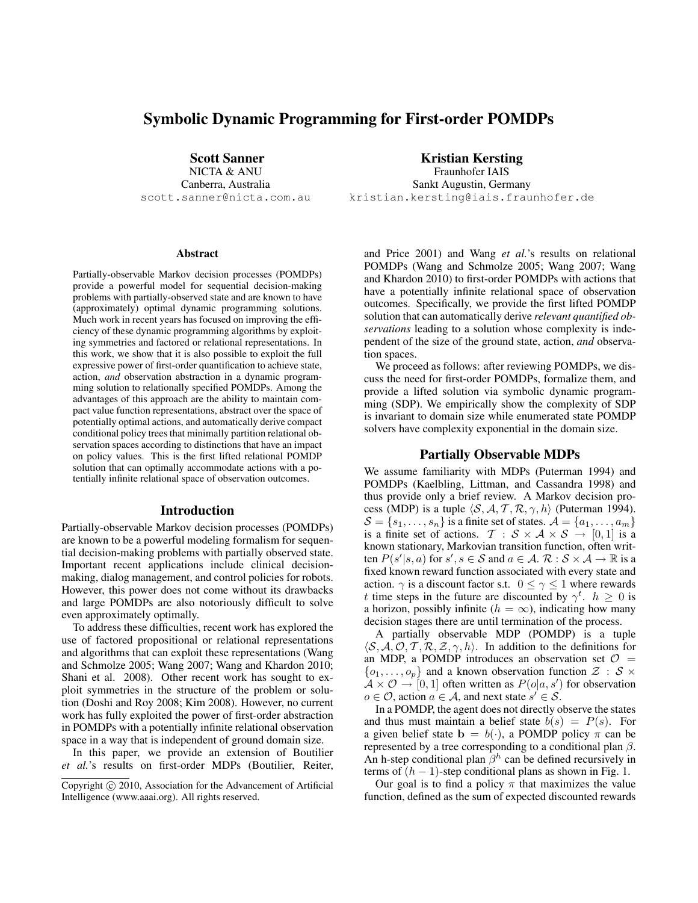# Symbolic Dynamic Programming for First-order POMDPs

Scott Sanner

NICTA & ANU Canberra, Australia scott.sanner@nicta.com.au

#### **Abstract**

Partially-observable Markov decision processes (POMDPs) provide a powerful model for sequential decision-making problems with partially-observed state and are known to have (approximately) optimal dynamic programming solutions. Much work in recent years has focused on improving the efficiency of these dynamic programming algorithms by exploiting symmetries and factored or relational representations. In this work, we show that it is also possible to exploit the full expressive power of first-order quantification to achieve state, action, *and* observation abstraction in a dynamic programming solution to relationally specified POMDPs. Among the advantages of this approach are the ability to maintain compact value function representations, abstract over the space of potentially optimal actions, and automatically derive compact conditional policy trees that minimally partition relational observation spaces according to distinctions that have an impact on policy values. This is the first lifted relational POMDP solution that can optimally accommodate actions with a potentially infinite relational space of observation outcomes.

### Introduction

Partially-observable Markov decision processes (POMDPs) are known to be a powerful modeling formalism for sequential decision-making problems with partially observed state. Important recent applications include clinical decisionmaking, dialog management, and control policies for robots. However, this power does not come without its drawbacks and large POMDPs are also notoriously difficult to solve even approximately optimally.

To address these difficulties, recent work has explored the use of factored propositional or relational representations and algorithms that can exploit these representations (Wang and Schmolze 2005; Wang 2007; Wang and Khardon 2010; Shani et al. 2008). Other recent work has sought to exploit symmetries in the structure of the problem or solution (Doshi and Roy 2008; Kim 2008). However, no current work has fully exploited the power of first-order abstraction in POMDPs with a potentially infinite relational observation space in a way that is independent of ground domain size.

In this paper, we provide an extension of Boutilier *et al.*'s results on first-order MDPs (Boutilier, Reiter, Kristian Kersting

Fraunhofer IAIS Sankt Augustin, Germany kristian.kersting@iais.fraunhofer.de

and Price 2001) and Wang *et al.*'s results on relational POMDPs (Wang and Schmolze 2005; Wang 2007; Wang and Khardon 2010) to first-order POMDPs with actions that have a potentially infinite relational space of observation outcomes. Specifically, we provide the first lifted POMDP solution that can automatically derive *relevant quantified observations* leading to a solution whose complexity is independent of the size of the ground state, action, *and* observation spaces.

We proceed as follows: after reviewing POMDPs, we discuss the need for first-order POMDPs, formalize them, and provide a lifted solution via symbolic dynamic programming (SDP). We empirically show the complexity of SDP is invariant to domain size while enumerated state POMDP solvers have complexity exponential in the domain size.

## Partially Observable MDPs

We assume familiarity with MDPs (Puterman 1994) and POMDPs (Kaelbling, Littman, and Cassandra 1998) and thus provide only a brief review. A Markov decision process (MDP) is a tuple  $\langle S, A, T, R, \gamma, h \rangle$  (Puterman 1994).  $S = \{s_1, \ldots, s_n\}$  is a finite set of states.  $\mathcal{A} = \{a_1, \ldots, a_m\}$ is a finite set of actions.  $\mathcal{T} : \mathcal{S} \times \mathcal{A} \times \mathcal{S} \rightarrow [0,1]$  is a known stationary, Markovian transition function, often written  $P(s'|s, a)$  for  $s', s \in S$  and  $a \in A$ .  $\mathcal{R}: S \times A \rightarrow \mathbb{R}$  is a fixed known reward function associated with every state and action.  $\gamma$  is a discount factor s.t.  $0 \leq \gamma \leq 1$  where rewards t time steps in the future are discounted by  $\gamma^t$ .  $h \geq 0$  is a horizon, possibly infinite ( $h = \infty$ ), indicating how many decision stages there are until termination of the process.

A partially observable MDP (POMDP) is a tuple  $\langle S, A, O, T, R, Z, \gamma, h \rangle$ . In addition to the definitions for an MDP, a POMDP introduces an observation set  $\mathcal{O}$  =  $\{o_1, \ldots, o_p\}$  and a known observation function  $\mathcal{Z} : \mathcal{S} \times$  $A \times \mathcal{O} \rightarrow [0, 1]$  often written as  $P(o|a, s')$  for observation  $o \in \mathcal{O}$ , action  $a \in \mathcal{A}$ , and next state  $s' \in \mathcal{S}$ .

In a POMDP, the agent does not directly observe the states and thus must maintain a belief state  $b(s) = P(s)$ . For a given belief state  $\mathbf{b} = b(\cdot)$ , a POMDP policy  $\pi$  can be represented by a tree corresponding to a conditional plan  $\beta$ . An h-step conditional plan  $\hat{\beta}^h$  can be defined recursively in terms of  $(h - 1)$ -step conditional plans as shown in Fig. 1.

Our goal is to find a policy  $\pi$  that maximizes the value function, defined as the sum of expected discounted rewards

Copyright © 2010, Association for the Advancement of Artificial Intelligence (www.aaai.org). All rights reserved.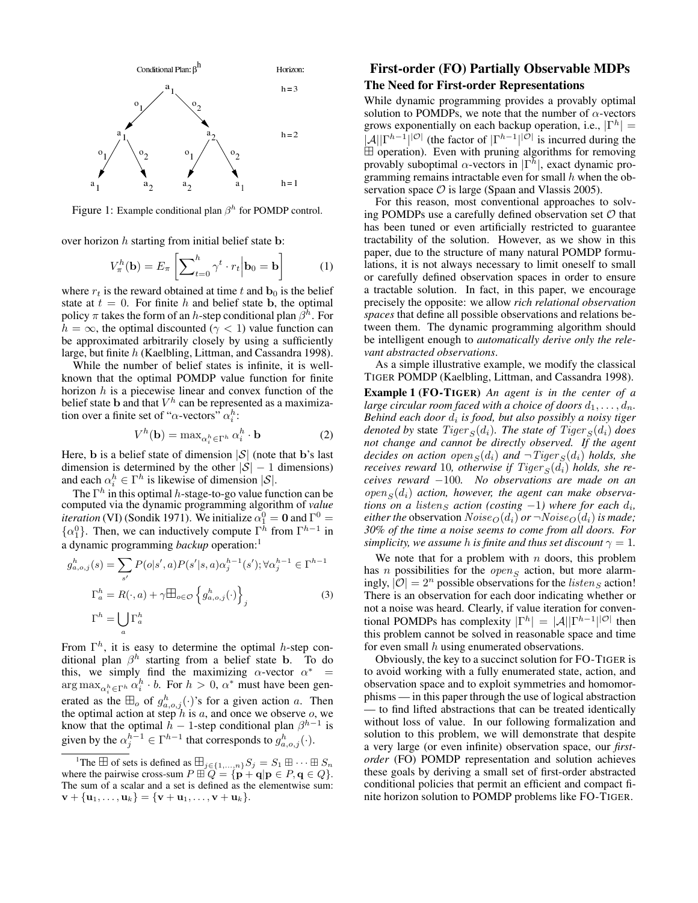

Figure 1: Example conditional plan  $\beta^h$  for POMDP control.

over horizon  $h$  starting from initial belief state b:

$$
V_{\pi}^{h}(\mathbf{b}) = E_{\pi} \left[ \sum_{t=0}^{h} \gamma^{t} \cdot r_{t} \middle| \mathbf{b}_{0} = \mathbf{b} \right]
$$
 (1)

where  $r_t$  is the reward obtained at time t and  $\mathbf{b}_0$  is the belief state at  $t = 0$ . For finite h and belief state b, the optimal policy  $\pi$  takes the form of an h-step conditional plan  $\beta^h$ . For  $h = \infty$ , the optimal discounted ( $\gamma < 1$ ) value function can be approximated arbitrarily closely by using a sufficiently large, but finite h (Kaelbling, Littman, and Cassandra 1998).

While the number of belief states is infinite, it is wellknown that the optimal POMDP value function for finite horizon  $h$  is a piecewise linear and convex function of the belief state **b** and that  $V^h$  can be represented as a maximization over a finite set of " $\alpha$ -vectors"  $\alpha_i^h$ :

$$
V^h(\mathbf{b}) = \max_{\alpha_i^h \in \Gamma^h} \alpha_i^h \cdot \mathbf{b}
$$
 (2)

Here, **b** is a belief state of dimension  $|\mathcal{S}|$  (note that **b**'s last dimension is determined by the other  $|S| - 1$  dimensions) and each  $\alpha_i^h \in \Gamma^h$  is likewise of dimension  $|S|$ .

The  $\Gamma^h$  in this optimal h-stage-to-go value function can be computed via the dynamic programming algorithm of *value iteration* (VI) (Sondik 1971). We initialize  $\alpha_1^0 = \mathbf{0}$  and  $\Gamma^0 =$  $\{\alpha_1^0\}$ . Then, we can inductively compute  $\Gamma^h$  from  $\Gamma^{h-1}$  in a dynamic programming *backup* operation:<sup>1</sup>

$$
g_{a,o,j}^h(s) = \sum_{s'} P(o|s',a)P(s'|s,a)\alpha_j^{h-1}(s'); \forall \alpha_j^{h-1} \in \Gamma^{h-1}
$$

$$
\Gamma_a^h = R(\cdot, a) + \gamma \boxplus_{o \in \mathcal{O}} \left\{ g_{a,o,j}^h(\cdot) \right\}_j
$$
(3)
$$
\Gamma^h = \bigcup_a \Gamma_a^h
$$

From  $\Gamma^h$ , it is easy to determine the optimal h-step conditional plan  $\beta^h$  starting from a belief state b. To do this, we simply find the maximizing  $\alpha$ -vector  $\alpha^*$  =  $\arg \max_{\alpha_i^h \in \Gamma^h} \alpha_i^h \cdot b$ . For  $h > 0$ ,  $\alpha^*$  must have been generated as the  $\mathbb{H}_o$  of  $g_{a,o,j}^h(\cdot)$ 's for a given action a. Then the optimal action at step h is a, and once we observe o, we know that the optimal  $h - 1$ -step conditional plan  $\beta^{h-1}$  is given by the  $\alpha_j^{h-1} \in \Gamma^{h-1}$  that corresponds to  $g_{a,o,j}^h(\cdot)$ .

# First-order (FO) Partially Observable MDPs The Need for First-order Representations

While dynamic programming provides a provably optimal solution to POMDPs, we note that the number of  $\alpha$ -vectors grows exponentially on each backup operation, i.e.,  $|\Gamma^h| =$  $|\mathcal{A}||\Gamma^{h-1}||^{|\mathcal{O}|}$  (the factor of  $|\Gamma^{h-1}||^{|\mathcal{O}|}$  is incurred during the  $\boxplus$  operation). Even with pruning algorithms for removing provably suboptimal  $\alpha$ -vectors in  $|\Gamma^h|$ , exact dynamic programming remains intractable even for small  $h$  when the observation space  $\mathcal O$  is large (Spaan and Vlassis 2005).

For this reason, most conventional approaches to solving POMDPs use a carefully defined observation set  $O$  that has been tuned or even artificially restricted to guarantee tractability of the solution. However, as we show in this paper, due to the structure of many natural POMDP formulations, it is not always necessary to limit oneself to small or carefully defined observation spaces in order to ensure a tractable solution. In fact, in this paper, we encourage precisely the opposite: we allow *rich relational observation spaces* that define all possible observations and relations between them. The dynamic programming algorithm should be intelligent enough to *automatically derive only the relevant abstracted observations*.

As a simple illustrative example, we modify the classical TIGER POMDP (Kaelbling, Littman, and Cassandra 1998).

Example 1 (FO-TIGER) *An agent is in the center of a large circular room faced with a choice of doors*  $d_1, \ldots, d_n$ . *Behind each door* d<sup>i</sup> *is food, but also possibly a noisy tiger denoted by* state  $Tiger_S(d_i)$ *. The state of*  $Tiger_S(d_i)$  *does not change and cannot be directly observed. If the agent decides on action open*<sub>S</sub>( $d_i$ ) *and*  $\neg$ *Tiger*<sub>S</sub>( $d_i$ ) *holds, she receives reward* 10*, otherwise if Tiger*  $_{S}(d_i)$  *holds, she receives reward* −100*. No observations are made on an*  $open_S(d_i)$  action, however, the agent can make observa*tions on a listen<sub>S</sub> action* (*costing*  $-1$ ) *where for each*  $d_i$ , *either the* observation  $Noise_{\mathcal{O}}(d_i)$  *or*  $\neg Noise_{\mathcal{O}}(d_i)$  *is made; 30% of the time a noise seems to come from all doors. For simplicity, we assume h is finite and thus set discount*  $\gamma = 1$ *.* 

We note that for a problem with  $n$  doors, this problem has *n* possibilities for the *open<sub>S</sub>* action, but more alarmingly,  $|O| = 2^n$  possible observations for the *listen<sub>S</sub>* action! There is an observation for each door indicating whether or not a noise was heard. Clearly, if value iteration for conventional POMDPs has complexity  $|\Gamma^h| = |\mathcal{A}| |\Gamma^{h-1}|^{|\mathcal{O}|}$  then this problem cannot be solved in reasonable space and time for even small  $h$  using enumerated observations.

Obviously, the key to a succinct solution for FO-TIGER is to avoid working with a fully enumerated state, action, and observation space and to exploit symmetries and homomorphisms — in this paper through the use of logical abstraction — to find lifted abstractions that can be treated identically without loss of value. In our following formalization and solution to this problem, we will demonstrate that despite a very large (or even infinite) observation space, our *firstorder* (FO) POMDP representation and solution achieves these goals by deriving a small set of first-order abstracted conditional policies that permit an efficient and compact finite horizon solution to POMDP problems like FO-TIGER.

<sup>&</sup>lt;sup>1</sup>The  $\overline{\boxplus}$  of sets is defined as  $\overline{\boxplus}_{j\in\{1,\ldots,n\}}S_j = S_1 \boxplus \cdots \boxplus S_n$ where the pairwise cross-sum  $P \boxplus Q = {\mathbf{p} + \mathbf{q} | \mathbf{p} \in P, \mathbf{q} \in Q}.$ The sum of a scalar and a set is defined as the elementwise sum:  $\mathbf{v} + {\mathbf{u}_1, \ldots, \mathbf{u}_k} = {\mathbf{v} + \mathbf{u}_1, \ldots, \mathbf{v} + \mathbf{u}_k}.$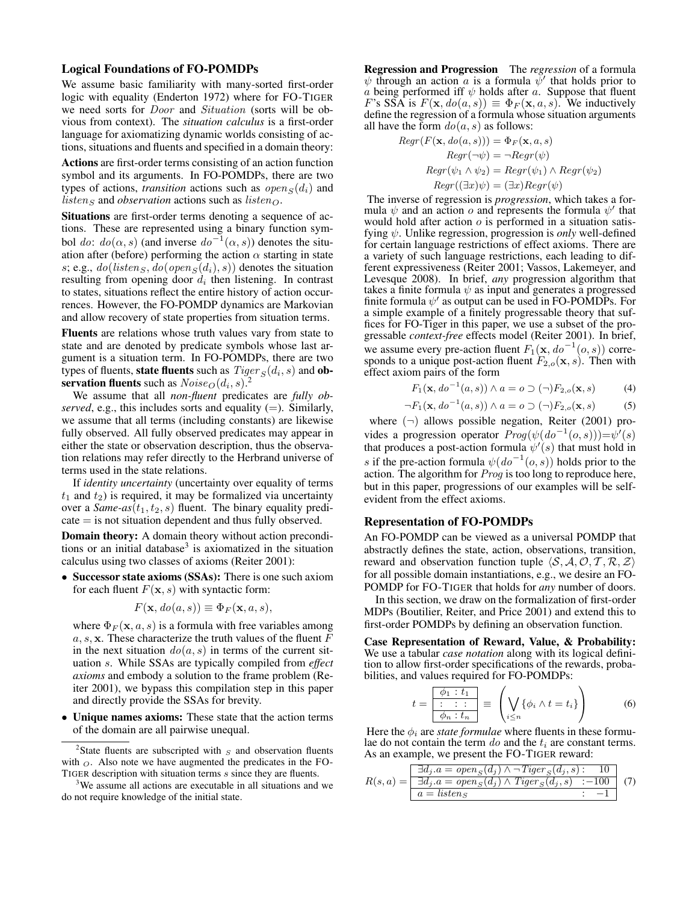## Logical Foundations of FO-POMDPs

We assume basic familiarity with many-sorted first-order logic with equality (Enderton 1972) where for FO-TIGER we need sorts for Door and Situation (sorts will be obvious from context). The *situation calculus* is a first-order language for axiomatizing dynamic worlds consisting of actions, situations and fluents and specified in a domain theory:

Actions are first-order terms consisting of an action function symbol and its arguments. In FO-POMDPs, there are two types of actions, *transition* actions such as  $open_S(d_i)$  and  $listen_S$  and *observation* actions such as  $listen_O$ .

Situations are first-order terms denoting a sequence of actions. These are represented using a binary function symbol do:  $do(\alpha, s)$  (and inverse  $do^{-1}(\alpha, s)$ ) denotes the situation after (before) performing the action  $\alpha$  starting in state s; e.g.,  $do(listens, do(open_S(d_i), s))$  denotes the situation resulting from opening door  $d_i$  then listening. In contrast to states, situations reflect the entire history of action occurrences. However, the FO-POMDP dynamics are Markovian and allow recovery of state properties from situation terms.

Fluents are relations whose truth values vary from state to state and are denoted by predicate symbols whose last argument is a situation term. In FO-POMDPs, there are two types of fluents, **state fluents** such as  $Tiger_S(d_i, s)$  and **ob**servation fluents such as  $Noise_{O}(d_i, s)$ .<sup>2</sup>

We assume that all *non-fluent* predicates are *fully observed*, e.g., this includes sorts and equality (=). Similarly, we assume that all terms (including constants) are likewise fully observed. All fully observed predicates may appear in either the state or observation description, thus the observation relations may refer directly to the Herbrand universe of terms used in the state relations.

If *identity uncertainty* (uncertainty over equality of terms  $t_1$  and  $t_2$ ) is required, it may be formalized via uncertainty over a *Same-as* $(t_1, t_2, s)$  fluent. The binary equality predi- $\text{cate} = \text{is not situation dependent and thus fully observed.}$ 

Domain theory: A domain theory without action preconditions or an initial database<sup>3</sup> is axiomatized in the situation calculus using two classes of axioms (Reiter 2001):

• Successor state axioms (SSAs): There is one such axiom for each fluent  $F(\mathbf{x}, s)$  with syntactic form:

$$
F(\mathbf{x}, \, do(a, s)) \equiv \Phi_F(\mathbf{x}, a, s),
$$

where  $\Phi_F(\mathbf{x}, a, s)$  is a formula with free variables among  $a, s, x$ . These characterize the truth values of the fluent  $F$ in the next situation  $do(a, s)$  in terms of the current situation s. While SSAs are typically compiled from *effect axioms* and embody a solution to the frame problem (Reiter 2001), we bypass this compilation step in this paper and directly provide the SSAs for brevity.

• Unique names axioms: These state that the action terms of the domain are all pairwise unequal.

Regression and Progression The *regression* of a formula  $\psi$  through an action  $a$  is a formula  $\psi'$  that holds prior to a being performed iff  $\psi$  holds after a. Suppose that fluent F's SSA is  $F(\mathbf{x}, do(a, s)) \equiv \Phi_F(\mathbf{x}, a, s)$ . We inductively define the regression of a formula whose situation arguments all have the form  $do(a, s)$  as follows:

$$
Regr(F(\mathbf{x}, do(a, s))) = \Phi_F(\mathbf{x}, a, s)
$$

$$
Regr(\neg \psi) = \neg Regr(\psi)
$$

$$
Regr(\psi_1 \land \psi_2) = Regr(\psi_1) \land Regr(\psi_2)
$$

$$
Regr((\exists x)\psi) = (\exists x)Regr(\psi)
$$

The inverse of regression is *progression*, which takes a formula  $\psi$  and an action o and represents the formula  $\psi'$  that would hold after action  $\sigma$  is performed in a situation satisfying ψ. Unlike regression, progression is *only* well-defined for certain language restrictions of effect axioms. There are a variety of such language restrictions, each leading to different expressiveness (Reiter 2001; Vassos, Lakemeyer, and Levesque 2008). In brief, *any* progression algorithm that takes a finite formula  $\psi$  as input and generates a progressed finite formula  $\psi'$  as output can be used in FO-POMDPs. For a simple example of a finitely progressable theory that suffices for FO-Tiger in this paper, we use a subset of the progressable *context-free* effects model (Reiter 2001). In brief, we assume every pre-action fluent  $F_1(\mathbf{x}, do^{-1}(o, s))$  corresponds to a unique post-action fluent  $F_{2,o}(\mathbf{x}, s)$ . Then with effect axiom pairs of the form

$$
F_1(\mathbf{x}, d\sigma^{-1}(a, s)) \wedge a = \sigma \supset (\neg) F_{2,\sigma}(\mathbf{x}, s) \tag{4}
$$

$$
\neg F_1(\mathbf{x}, do^{-1}(a, s)) \land a = o \supset (\neg) F_{2,o}(\mathbf{x}, s) \tag{5}
$$

where  $(\neg)$  allows possible negation, Reiter (2001) provides a progression operator  $Prog(\psi(do^{-1}(o, s)))=\psi'(s)$ that produces a post-action formula  $\psi'(s)$  that must hold in s if the pre-action formula  $\psi(do^{-1}(o, s))$  holds prior to the action. The algorithm for Prog is too long to reproduce here, but in this paper, progressions of our examples will be selfevident from the effect axioms.

#### Representation of FO-POMDPs

An FO-POMDP can be viewed as a universal POMDP that abstractly defines the state, action, observations, transition, reward and observation function tuple  $\langle S, A, O, T, R, Z \rangle$ for all possible domain instantiations, e.g., we desire an FO-POMDP for FO-TIGER that holds for *any* number of doors.

In this section, we draw on the formalization of first-order MDPs (Boutilier, Reiter, and Price 2001) and extend this to first-order POMDPs by defining an observation function.

Case Representation of Reward, Value, & Probability: We use a tabular *case notation* along with its logical definition to allow first-order specifications of the rewards, probabilities, and values required for FO-POMDPs:

$$
t = \frac{\overline{\phi_1 : t_1}}{\overline{\phi_n : t_n}} \equiv \left(\bigvee_{i \leq n} \{\phi_i \wedge t = t_i\}\right) \tag{6}
$$

Here the  $\phi_i$  are *state formulae* where fluents in these formulae do not contain the term  $do$  and the  $t_i$  are constant terms. As an example, we present the FO-TIGER reward:

$$
R(s,a) = \frac{\exists d_j.a = open_S(d_j) \land \neg \text{Tiger}_S(d_j, s) : 10}{\exists d_j.a = open_S(d_j) \land \text{Tiger}_S(d_j, s) : -100} \quad (7)
$$
  

$$
a = \text{listen}_S
$$

<sup>&</sup>lt;sup>2</sup>State fluents are subscripted with  $S$  and observation fluents with  $\Omega$ . Also note we have augmented the predicates in the FO-TIGER description with situation terms s since they are fluents.

<sup>&</sup>lt;sup>3</sup>We assume all actions are executable in all situations and we do not require knowledge of the initial state.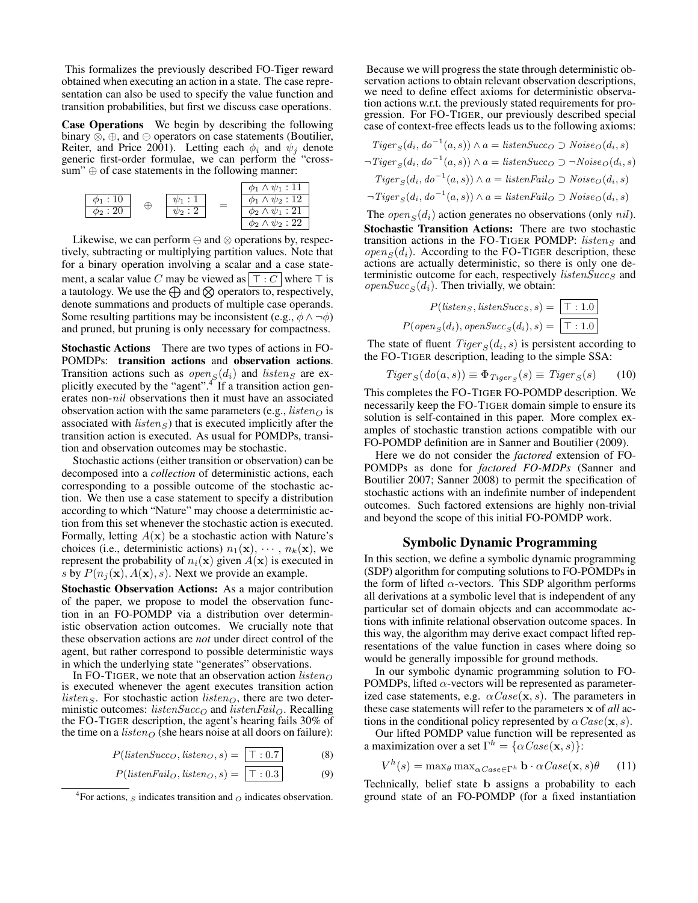This formalizes the previously described FO-Tiger reward obtained when executing an action in a state. The case representation can also be used to specify the value function and transition probabilities, but first we discuss case operations.

Case Operations We begin by describing the following binary  $\overline{\otimes}$ ,  $\oplus$ , and  $\ominus$  operators on case statements (Boutilier, Reiter, and Price 2001). Letting each  $\phi_i$  and  $\psi_j$  denote generic first-order formulae, we can perform the "crosssum"  $\oplus$  of case statements in the following manner:



Likewise, we can perform  $\ominus$  and  $\otimes$  operations by, respectively, subtracting or multiplying partition values. Note that for a binary operation involving a scalar and a case statement, a scalar value C may be viewed as  $\vert \top : C \vert$  where  $\top$  is a tautology. We use the  $\bigoplus$  and  $\bigotimes$  operators to, respectively, denote summations and products of multiple case operands. Some resulting partitions may be inconsistent (e.g.,  $\phi \land \neg \phi$ ) and pruned, but pruning is only necessary for compactness.

Stochastic Actions There are two types of actions in FO-POMDPs: transition actions and observation actions. Transition actions such as  $open_S(d_i)$  and listens are explicitly executed by the "agent".<sup>4</sup> If a transition action generates non-nil observations then it must have an associated observation action with the same parameters (e.g.,  $listen_O$  is associated with  $listen_S$ ) that is executed implicitly after the transition action is executed. As usual for POMDPs, transition and observation outcomes may be stochastic.

Stochastic actions (either transition or observation) can be decomposed into a *collection* of deterministic actions, each corresponding to a possible outcome of the stochastic action. We then use a case statement to specify a distribution according to which "Nature" may choose a deterministic action from this set whenever the stochastic action is executed. Formally, letting  $A(x)$  be a stochastic action with Nature's choices (i.e., deterministic actions)  $n_1(\mathbf{x}), \cdots, n_k(\mathbf{x})$ , we represent the probability of  $n_i(\mathbf{x})$  given  $A(\mathbf{x})$  is executed in s by  $P(n_i(\mathbf{x}), A(\mathbf{x}), s)$ . Next we provide an example.

Stochastic Observation Actions: As a major contribution of the paper, we propose to model the observation function in an FO-POMDP via a distribution over deterministic observation action outcomes. We crucially note that these observation actions are *not* under direct control of the agent, but rather correspond to possible deterministic ways in which the underlying state "generates" observations.

In FO-TIGER, we note that an observation action  $listen_O$ is executed whenever the agent executes transition action *listen*<sub>S</sub>. For stochastic action *listen*<sub>O</sub>, there are two deterministic outcomes: *listenSucc*<sub>O</sub> and *listenFail*<sub>O</sub>. Recalling the FO-TIGER description, the agent's hearing fails 30% of the time on a *listen* $\sigma$  (she hears noise at all doors on failure):

$$
P(listenSucc_O, listen_O, s) = \boxed{\top : 0.7}
$$
 (8)

$$
P(listenFail_O, listen_O, s) = \boxed{\top : 0.3}
$$
 (9)

Because we will progress the state through deterministic observation actions to obtain relevant observation descriptions, we need to define effect axioms for deterministic observation actions w.r.t. the previously stated requirements for progression. For FO-TIGER, our previously described special case of context-free effects leads us to the following axioms:

Tiger <sup>S</sup>(di, do<sup>−</sup><sup>1</sup> (a, s)) ∧ a = listenSucc<sup>O</sup> ⊃ NoiseO(di, s) ¬Tiger <sup>S</sup>(di, do<sup>−</sup><sup>1</sup> (a, s)) ∧ a = listenSucc<sup>O</sup> ⊃ ¬NoiseO(di, s) Tiger <sup>S</sup>(di, do<sup>−</sup><sup>1</sup> (a, s)) ∧ a = listenFail<sup>O</sup> ⊃ NoiseO(di, s) ¬Tiger <sup>S</sup>(di, do<sup>−</sup><sup>1</sup> (a, s)) ∧ a = listenFail<sup>O</sup> ⊃ NoiseO(di, s)

The  $open_S(d_i)$  action generates no observations (only nil). Stochastic Transition Actions: There are two stochastic transition actions in the FO-TIGER POMDP: listens and  $open_{S}(d_i)$ . According to the FO-TIGER description, these actions are actually deterministic, so there is only one deterministic outcome for each, respectively  $listenSucc<sub>S</sub>$  and *openSucc*<sub>S</sub>( $d_i$ ). Then trivially, we obtain:

$$
P(listen_S, listenSucc_S, s) = \boxed{\top : 1.0}
$$

$$
P(open_S(d_i), openSucc_S(d_i), s) = \boxed{\top : 1.0}
$$

The state of fluent  $Tiger_S(d_i, s)$  is persistent according to the FO-TIGER description, leading to the simple SSA:

$$
Tiger_S(do(a, s)) \equiv \Phi_{Tiger_S}(s) \equiv Tiger_S(s) \qquad (10)
$$

This completes the FO-TIGER FO-POMDP description. We necessarily keep the FO-TIGER domain simple to ensure its solution is self-contained in this paper. More complex examples of stochastic transtion actions compatible with our FO-POMDP definition are in Sanner and Boutilier (2009).

Here we do not consider the *factored* extension of FO-POMDPs as done for *factored FO-MDPs* (Sanner and Boutilier 2007; Sanner 2008) to permit the specification of stochastic actions with an indefinite number of independent outcomes. Such factored extensions are highly non-trivial and beyond the scope of this initial FO-POMDP work.

### Symbolic Dynamic Programming

In this section, we define a symbolic dynamic programming (SDP) algorithm for computing solutions to FO-POMDPs in the form of lifted  $\alpha$ -vectors. This SDP algorithm performs all derivations at a symbolic level that is independent of any particular set of domain objects and can accommodate actions with infinite relational observation outcome spaces. In this way, the algorithm may derive exact compact lifted representations of the value function in cases where doing so would be generally impossible for ground methods.

In our symbolic dynamic programming solution to FO-POMDPs, lifted  $\alpha$ -vectors will be represented as parameterized case statements, e.g.  $\alpha \text{Case}(\mathbf{x}, s)$ . The parameters in these case statements will refer to the parameters x of *all* actions in the conditional policy represented by  $\alpha Case(\mathbf{x}, s)$ .

Our lifted POMDP value function will be represented as a maximization over a set  $\Gamma^h = \{ \alpha \text{Case}(\mathbf{x}, s) \}$ :

$$
V^h(s) = \max_{\theta} \max_{\alpha \in \mathbb{C}^n} \mathbf{b} \cdot \alpha \mathbb{C}^{\theta}(\mathbf{x}, s) \theta \qquad (11)
$$

Technically, belief state b assigns a probability to each ground state of an FO-POMDP (for a fixed instantiation

<sup>&</sup>lt;sup>4</sup>For actions,  $S$  indicates transition and  $O$  indicates observation.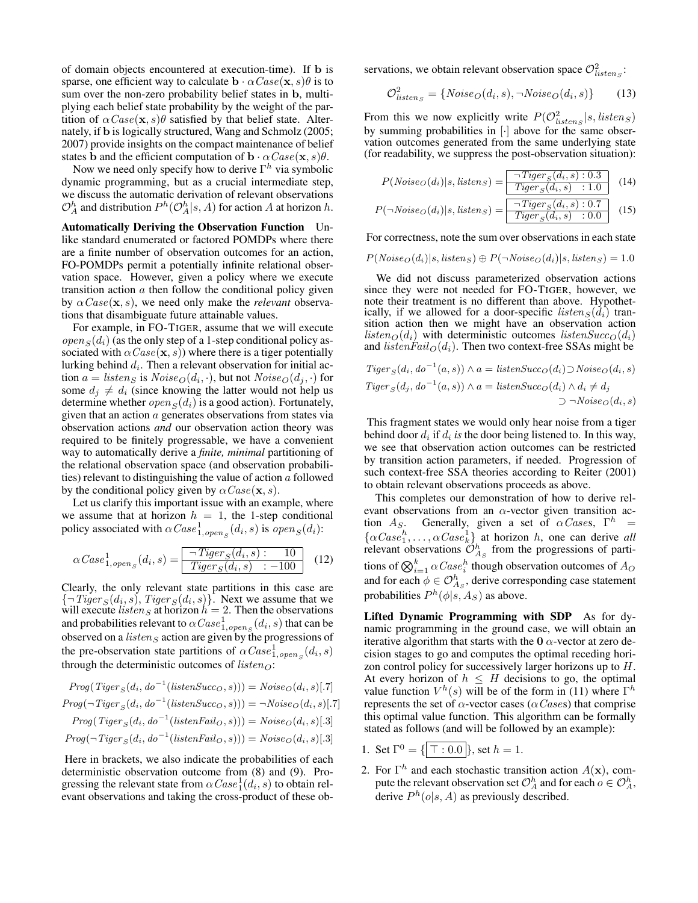of domain objects encountered at execution-time). If b is sparse, one efficient way to calculate  $\mathbf{b} \cdot \alpha \text{Case}(\mathbf{x}, s) \theta$  is to sum over the non-zero probability belief states in b, multiplying each belief state probability by the weight of the partition of  $\alpha Case(\mathbf{x}, s) \theta$  satisfied by that belief state. Alternately, if b is logically structured, Wang and Schmolz (2005; 2007) provide insights on the compact maintenance of belief states **b** and the efficient computation of  $\mathbf{b} \cdot \alpha \text{Case}(\mathbf{x}, s)\theta$ .

Now we need only specify how to derive  $\Gamma^h$  via symbolic dynamic programming, but as a crucial intermediate step, we discuss the automatic derivation of relevant observations  $\mathcal{O}_A^h$  and distribution  $P^h(\mathcal{O}_A^h|s,A)$  for action A at horizon h.

Automatically Deriving the Observation Function Unlike standard enumerated or factored POMDPs where there are a finite number of observation outcomes for an action, FO-POMDPs permit a potentially infinite relational observation space. However, given a policy where we execute transition action  $a$  then follow the conditional policy given by  $\alpha \text{Case}(\mathbf{x}, s)$ , we need only make the *relevant* observations that disambiguate future attainable values.

For example, in FO-TIGER, assume that we will execute  $open_{s}(d_{i})$  (as the only step of a 1-step conditional policy associated with  $\alpha Case(\mathbf{x}, s)$ ) where there is a tiger potentially lurking behind  $d_i$ . Then a relevant observation for initial action  $a = listens$  is  $Noise_{O}(d_i, \cdot)$ , but not  $Noise_{O}(d_j, \cdot)$  for some  $d_i \neq d_i$  (since knowing the latter would not help us determine whether  $open_S(d_i)$  is a good action). Fortunately, given that an action a generates observations from states via observation actions *and* our observation action theory was required to be finitely progressable, we have a convenient way to automatically derive a *finite, minimal* partitioning of the relational observation space (and observation probabilities) relevant to distinguishing the value of action  $\alpha$  followed by the conditional policy given by  $\alpha \text{Case}(\mathbf{x}, s)$ .

Let us clarify this important issue with an example, where we assume that at horizon  $h = 1$ , the 1-step conditional policy associated with  $\alpha Case^1_{1, open_S}(d_i, s)$  is  $open_S(d_i)$ :

$$
\alpha Case_{1, open_S}^1(d_i, s) = \boxed{\frac{\neg Tiger_S(d_i, s) : 10}{Tiger_S(d_i, s) : -100}} \quad (12)
$$

Clearly, the only relevant state partitions in this case are  ${\lbrace \neg \textit{Tiger}_S(d_i, s), \textit{Tiger}_S(d_i, s) \rbrace}.$  Next we assume that we will execute *listen*<sub>S</sub> at horizon  $h = 2$ . Then the observations and probabilities relevant to  $\alpha Case^1_{1,open_S}(d_i,s)$  that can be observed on a *listens* action are given by the progressions of the pre-observation state partitions of  $\alpha Case_{1, open_S}^{1}(d_i, s)$ through the deterministic outcomes of  $listen_O$ :

$$
Prog(Tiger_S(d_i, do^{-1}(listenSucc_O, s))) = Noise_O(d_i, s)[.7]
$$

$$
Prog(\neg Tiger_S(d_i, do^{-1}(listenSucc_O, s))) = \neg Noise_O(d_i, s)[.7]
$$

$$
Prog(Tiger_S(d_i, do^{-1}(listenFail_O, s))) = Noise_O(d_i, s)[.3]
$$

$$
Prog(\neg Tiger_S(d_i, do^{-1}(listenFail_O, s))) = Noise_O(d_i, s)[.3]
$$

Here in brackets, we also indicate the probabilities of each deterministic observation outcome from (8) and (9). Progressing the relevant state from  $\alpha Case^1_1(d_i, s)$  to obtain relevant observations and taking the cross-product of these observations, we obtain relevant observation space  $\mathcal{O}^2_{listens}$ :

$$
\mathcal{O}_{listency}^2 = \{Noise_O(d_i, s), \neg Noise_O(d_i, s)\}\tag{13}
$$

From this we now explicitly write  $P(O_{listenz}^2 | s, listen_S)$ by summing probabilities in [·] above for the same observation outcomes generated from the same underlying state (for readability, we suppress the post-observation situation):

$$
P(Noise_O(d_i)|s, listen_S) = \boxed{\frac{\neg\,Tiger_S(d_i, s) : 0.3}{Tiger_S(d_i, s) : 1.0}} \quad (14)
$$

$$
P(\neg Noise_O(d_i)|s, listen_S) = \boxed{\frac{\neg Tiger_S(d_i, s) : 0.7}{Tiger_S(d_i, s) : 0.0}} \quad (15)
$$

For correctness, note the sum over observations in each state

$$
P(Noise_O(d_i)|s, listen_S) \oplus P(\neg Noise_O(d_i)|s, listen_S) = 1.0
$$

We did not discuss parameterized observation actions since they were not needed for FO-TIGER, however, we note their treatment is no different than above. Hypothetically, if we allowed for a door-specific  $listens(d_i)$  transition action then we might have an observation action  $listen_O(d_i)$  with deterministic outcomes  $listenSucc_O(d_i)$ and *listenFail* $_{\mathcal{O}}(d_i)$ . Then two context-free SSAs might be

$$
Tiger_S(d_i, do^{-1}(a, s)) \wedge a = listenSucc_O(d_i) \supset \mathit{Noise}_O(d_i, s)
$$
  

$$
Tiger_S(d_j, do^{-1}(a, s)) \wedge a = listenSucc_O(d_i) \wedge d_i \neq d_j
$$
  

$$
\supset \neg \mathit{Noise}_O(d_i, s)
$$

This fragment states we would only hear noise from a tiger behind door  $d_i$  if  $d_i$  is the door being listened to. In this way, we see that observation action outcomes can be restricted by transition action parameters, if needed. Progression of such context-free SSA theories according to Reiter (2001) to obtain relevant observations proceeds as above.

This completes our demonstration of how to derive relevant observations from an  $\alpha$ -vector given transition action  $A_S$ . Generally, given a set of  $\alpha \text{ \textit{Cases}\textit{,}} \Gamma^h =$  $\{\alpha \text{Case}_1^h, \dots, \alpha \text{Case}_k^1\}$  at horizon h, one can derive all relevant observations  $\mathcal{O}_{A_S}^h$  from the progressions of partitions of  $\bigotimes_{i=1}^k \alpha \mathit{Case}_i^h$  though observation outcomes of  $A_O$ and for each  $\phi \in \mathcal{O}_{A_S}^h$ , derive corresponding case statement probabilities  $P^h(\phi|s,A_S)$  as above.

Lifted Dynamic Programming with SDP As for dynamic programming in the ground case, we will obtain an iterative algorithm that starts with the  $0 \alpha$ -vector at zero decision stages to go and computes the optimal receding horizon control policy for successively larger horizons up to H. At every horizon of  $h \leq H$  decisions to go, the optimal value function  $V^h(s)$  will be of the form in (11) where  $\Gamma^h$ represents the set of  $\alpha$ -vector cases ( $\alpha$ Cases) that comprise this optimal value function. This algorithm can be formally stated as follows (and will be followed by an example):

- 1. Set  $\Gamma^0 = \{ | \top : 0.0 | \}$ , set  $h = 1$ .
- 2. For  $\Gamma^h$  and each stochastic transition action  $A(\mathbf{x})$ , compute the relevant observation set  $\mathcal{O}_A^h$  and for each  $o \in \mathcal{O}_A^h$ , derive  $P^{h}(o|s, A)$  as previously described.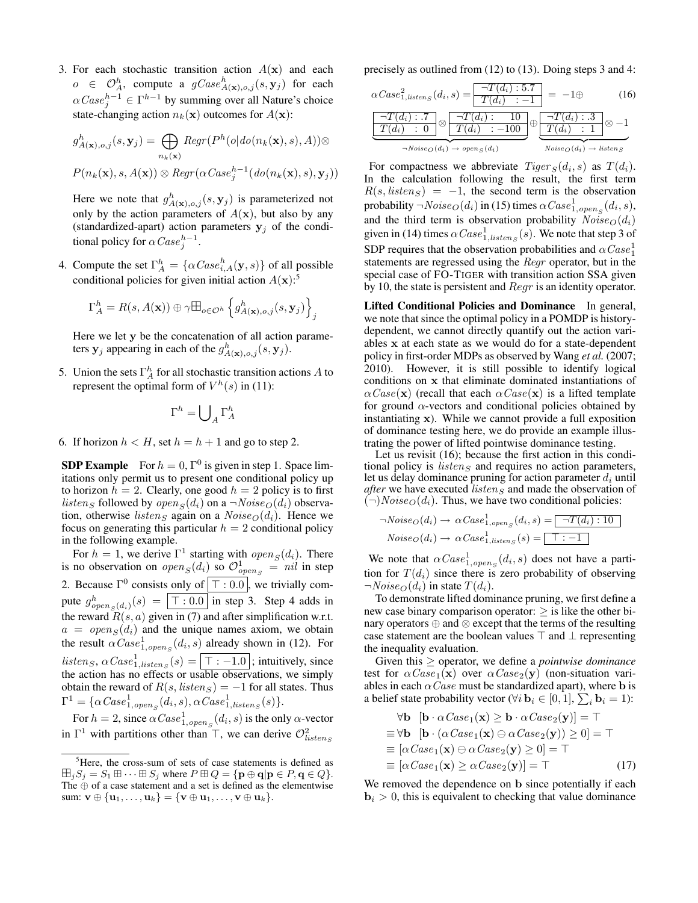3. For each stochastic transition action  $A(\mathbf{x})$  and each  $o \in \mathcal{O}_A^h$ , compute a  $gCase^h_{A(\mathbf{x}), o, j}(s, \mathbf{y}_j)$  for each  $\alpha Case_j^{h-1} \in \Gamma^{h-1}$  by summing over all Nature's choice state-changing action  $n_k(\mathbf{x})$  outcomes for  $A(\mathbf{x})$ :

$$
g_{A(\mathbf{x}),o,j}^{h}(s,\mathbf{y}_{j}) = \bigoplus_{n_{k}(\mathbf{x})} Regr(P^{h}(o|do(n_{k}(\mathbf{x}), s), A)) \otimes
$$
  

$$
P(n_{k}(\mathbf{x}), s, A(\mathbf{x})) \otimes Regr(\alpha Case_{j}^{h-1}(do(n_{k}(\mathbf{x}), s), \mathbf{y}_{j}))
$$

Here we note that  $g_{A(\mathbf{x}),o,j}^h(s, \mathbf{y}_j)$  is parameterized not only by the action parameters of  $A(\mathbf{x})$ , but also by any (standardized-apart) action parameters  $y_j$  of the conditional policy for  $\alpha Case_j^{h-1}$ .

4. Compute the set  $\Gamma_A^h = \{ \alpha \text{Case}_{i,A}^h(\mathbf{y}, s) \}$  of all possible conditional policies for given initial action  $A(\mathbf{x})$ :<sup>5</sup>

$$
\Gamma_A^h = R(s, A(\mathbf{x})) \oplus \gamma \boxplus_{o \in \mathcal{O}^h} \left\{ g_{A(\mathbf{x}), o, j}^h(s, \mathbf{y}_j) \right\}_j
$$

Here we let y be the concatenation of all action parameters  $y_j$  appearing in each of the  $g^h_{A(\mathbf{x}),o,j}(s, y_j)$ .

5. Union the sets  $\Gamma_A^h$  for all stochastic transition actions A to represent the optimal form of  $V^h(s)$  in (11):

$$
\Gamma^h = \bigcup\nolimits_A \Gamma^h_A
$$

6. If horizon  $h < H$ , set  $h = h + 1$  and go to step 2.

**SDP Example** For  $h = 0$ ,  $\Gamma^0$  is given in step 1. Space limitations only permit us to present one conditional policy up to horizon  $h = 2$ . Clearly, one good  $h = 2$  policy is to first *listens* followed by  $open_S(d_i)$  on a  $\neg Noise_O(d_i)$  observation, otherwise listens again on a  $Noise_{O}(d_i)$ . Hence we focus on generating this particular  $h = 2$  conditional policy in the following example.

For  $h = 1$ , we derive  $\Gamma^1$  starting with  $open_S(d_i)$ . There is no observation on  $open_S(d_i)$  so  $\mathcal{O}^1_{open_S} = nil$  in step 2. Because  $\Gamma^0$  consists only of  $\vert \top : 0.0 \vert$ , we trivially compute  $g_{open_S(d_i)}^h(s) = \boxed{\top : 0.0}$  in step 3. Step 4 adds in the reward  $R(s, a)$  given in (7) and after simplification w.r.t.  $a = open<sub>S</sub>(d<sub>i</sub>)$  and the unique names axiom, we obtain the result  $\alpha Case_{1,open_S}^1(d_i, s)$  already shown in (12). For  $\textit{listen}_S, \ \alpha \textit{Case}^1_{1, \textit{listen}_S}(s) = \boxed{\top : -1.0}$ ; intuitively, since the action has no effects or usable observations, we simply obtain the reward of  $R(s, listen_S) = -1$  for all states. Thus  $\Gamma^1 = \{ \alpha Case^1_{1, open_S}(d_i, s), \alpha Case^1_{1, listen_S}(s) \}.$ 

For  $h=2$ , since  $\alpha Case^1_{1,open_S}(d_i,s)$  is the only  $\alpha$ -vector in  $\Gamma^1$  with partitions other than  $\top$ , we can derive  $\mathcal{O}^2_{listsens}$ 

precisely as outlined from (12) to (13). Doing steps 3 and 4:

$$
\alpha Case_{1, listening}(d_i, s) = \frac{\neg T(d_i): .5.7}{T(d_i): -1} = -1 \oplus \qquad (16)
$$
\n
$$
\underbrace{\frac{\neg T(d_i): .7}{T(d_i): 0} \otimes \frac{\neg T(d_i): 10}{T(d_i): -100}}_{\neg Noise_O(d_i) \rightarrow open_S(d_i)} \oplus \underbrace{\frac{\neg T(d_i): .3}{T(d_i): 1} \otimes -1}_{Noise_O(d_i) \rightarrow listener_S}
$$

For compactness we abbreviate  $Tiger_S(d_i, s)$  as  $T(d_i)$ . In the calculation following the result, the first term  $R(s, listen_S) = -1$ , the second term is the observation probability  $\neg Noise_{O}(d_{i})$  in (15) times  $\alpha Case_{1, open_S}^{1}(d_{i}, s)$ , and the third term is observation probability  $Noise_O(d_i)$ given in (14) times  $\alpha Case^1_{1,listen_S}(s)$ . We note that step 3 of SDP requires that the observation probabilities and  $\alpha Case^1_1$ statements are regressed using the Regr operator, but in the special case of FO-TIGER with transition action SSA given by 10, the state is persistent and Regr is an identity operator.

Lifted Conditional Policies and Dominance In general, we note that since the optimal policy in a POMDP is historydependent, we cannot directly quantify out the action variables x at each state as we would do for a state-dependent policy in first-order MDPs as observed by Wang *et al.* (2007; 2010). However, it is still possible to identify logical conditions on x that eliminate dominated instantiations of  $\alpha Case(\mathbf{x})$  (recall that each  $\alpha Case(\mathbf{x})$  is a lifted template for ground  $\alpha$ -vectors and conditional policies obtained by instantiating x). While we cannot provide a full exposition of dominance testing here, we do provide an example illustrating the power of lifted pointwise dominance testing.

Let us revisit (16); because the first action in this conditional policy is *listen*  $\varsigma$  and requires no action parameters, let us delay dominance pruning for action parameter  $d_i$  until *after* we have executed *listen<sub>S</sub>* and made the observation of  $(\neg)Noise_{O}(d_i)$ . Thus, we have two conditional policies:

$$
\neg Noise_{O}(d_{i}) \rightarrow \alpha Case_{1,open_{S}}^{1}(d_{i}, s) = \boxed{\neg T(d_{i}):10}
$$
  

$$
Noise_{O}(d_{i}) \rightarrow \alpha Case_{1,listen_{S}}^{1}(s) = \boxed{\top:-1}
$$

We note that  $\alpha Case_{1,open_S}^1(d_i,s)$  does not have a partition for  $T(d_i)$  since there is zero probability of observing  $\neg Noise_{\mathcal{O}}(d_i)$  in state  $T(d_i)$ .

To demonstrate lifted dominance pruning, we first define a new case binary comparison operator:  $>$  is like the other binary operators ⊕ and ⊗ except that the terms of the resulting case statement are the boolean values  $\top$  and  $\bot$  representing the inequality evaluation.

Given this ≥ operator, we define a *pointwise dominance* test for  $\alpha Case_1(x)$  over  $\alpha Case_2(y)$  (non-situation variables in each  $\alpha \text{Case}$  must be standardized apart), where b is a belief state probability vector ( $\forall i$   $\mathbf{b}_i \in [0,1], \sum_i \mathbf{b}_i = 1$ ):

$$
\forall \mathbf{b} \ [\mathbf{b} \cdot \alpha \text{Case}_1(\mathbf{x}) \ge \mathbf{b} \cdot \alpha \text{Case}_2(\mathbf{y})] = \top
$$
  
\n
$$
\equiv \forall \mathbf{b} \ [\mathbf{b} \cdot (\alpha \text{Case}_1(\mathbf{x}) \ominus \alpha \text{Case}_2(\mathbf{y})) \ge 0] = \top
$$
  
\n
$$
\equiv [\alpha \text{Case}_1(\mathbf{x}) \ominus \alpha \text{Case}_2(\mathbf{y}) \ge 0] = \top
$$
  
\n
$$
\equiv [\alpha \text{Case}_1(\mathbf{x}) \ge \alpha \text{Case}_2(\mathbf{y})] = \top
$$
 (17)

We removed the dependence on **b** since potentially if each **, this is equivalent to checking that value dominance** 

<sup>&</sup>lt;sup>5</sup>Here, the cross-sum of sets of case statements is defined as  $\boxplus_j S_j = S_1 \boxplus \cdots \boxplus S_j$  where  $P \boxplus Q = \{ \mathbf{p} \oplus \mathbf{q} | \mathbf{p} \in P, \mathbf{q} \in Q \}.$ The ⊕ of a case statement and a set is defined as the elementwise sum:  $\mathbf{v} \oplus {\mathbf{u}_1, \ldots, \mathbf{u}_k} = {\mathbf{v} \oplus \mathbf{u}_1, \ldots, \mathbf{v} \oplus \mathbf{u}_k}.$